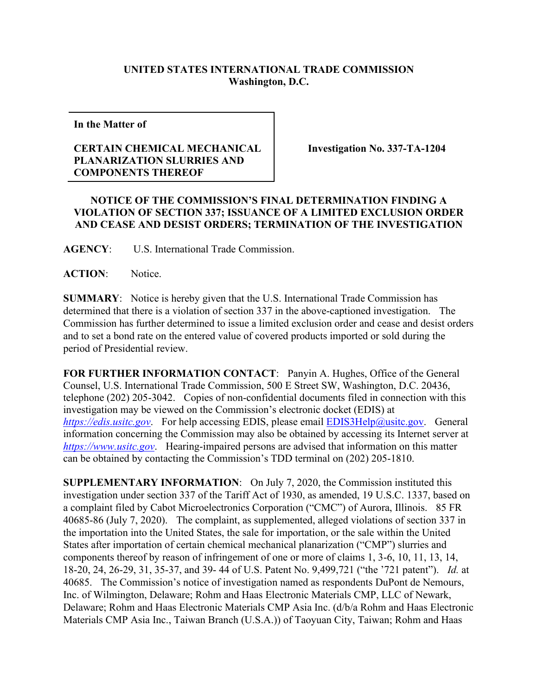## **UNITED STATES INTERNATIONAL TRADE COMMISSION Washington, D.C.**

**In the Matter of** 

## **CERTAIN CHEMICAL MECHANICAL PLANARIZATION SLURRIES AND COMPONENTS THEREOF**

**Investigation No. 337-TA-1204**

## **NOTICE OF THE COMMISSION'S FINAL DETERMINATION FINDING A VIOLATION OF SECTION 337; ISSUANCE OF A LIMITED EXCLUSION ORDER AND CEASE AND DESIST ORDERS; TERMINATION OF THE INVESTIGATION**

**AGENCY**: U.S. International Trade Commission.

**ACTION**: Notice.

**SUMMARY**: Notice is hereby given that the U.S. International Trade Commission has determined that there is a violation of section 337 in the above-captioned investigation. The Commission has further determined to issue a limited exclusion order and cease and desist orders and to set a bond rate on the entered value of covered products imported or sold during the period of Presidential review.

**FOR FURTHER INFORMATION CONTACT**: Panyin A. Hughes, Office of the General Counsel, U.S. International Trade Commission, 500 E Street SW, Washington, D.C. 20436, telephone (202) 205-3042. Copies of non-confidential documents filed in connection with this investigation may be viewed on the Commission's electronic docket (EDIS) at *[https://edis.usitc.gov](https://edis.usitc.gov/).* For help accessing EDIS, please email [EDIS3Help@usitc.gov.](mailto:EDIS3Help@usitc.gov) General information concerning the Commission may also be obtained by accessing its Internet server at *[https://www.usitc.gov](https://www.usitc.gov/)*. Hearing-impaired persons are advised that information on this matter can be obtained by contacting the Commission's TDD terminal on (202) 205-1810.

**SUPPLEMENTARY INFORMATION**: On July 7, 2020, the Commission instituted this investigation under section 337 of the Tariff Act of 1930, as amended, 19 U.S.C. 1337, based on a complaint filed by Cabot Microelectronics Corporation ("CMC") of Aurora, Illinois. 85 FR 40685-86 (July 7, 2020). The complaint, as supplemented, alleged violations of section 337 in the importation into the United States, the sale for importation, or the sale within the United States after importation of certain chemical mechanical planarization ("CMP") slurries and components thereof by reason of infringement of one or more of claims 1, 3-6, 10, 11, 13, 14, 18-20, 24, 26-29, 31, 35-37, and 39- 44 of U.S. Patent No. 9,499,721 ("the '721 patent"). *Id.* at 40685. The Commission's notice of investigation named as respondents DuPont de Nemours, Inc. of Wilmington, Delaware; Rohm and Haas Electronic Materials CMP, LLC of Newark, Delaware; Rohm and Haas Electronic Materials CMP Asia Inc. (d/b/a Rohm and Haas Electronic Materials CMP Asia Inc., Taiwan Branch (U.S.A.)) of Taoyuan City, Taiwan; Rohm and Haas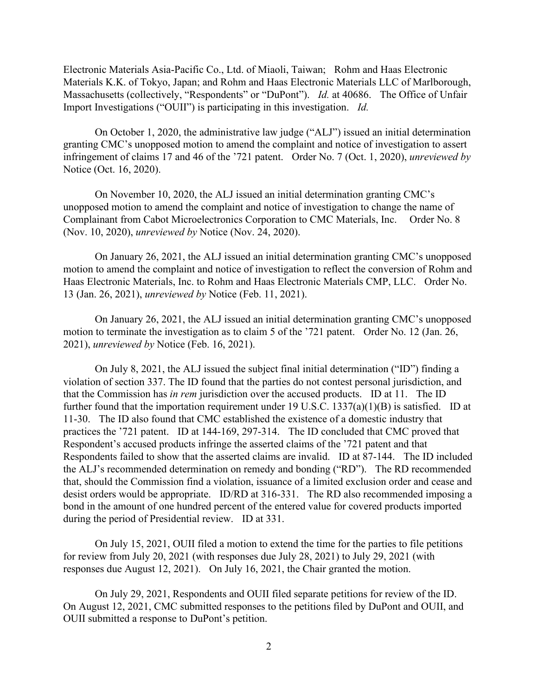Electronic Materials Asia-Pacific Co., Ltd. of Miaoli, Taiwan; Rohm and Haas Electronic Materials K.K. of Tokyo, Japan; and Rohm and Haas Electronic Materials LLC of Marlborough, Massachusetts (collectively, "Respondents" or "DuPont"). *Id.* at 40686. The Office of Unfair Import Investigations ("OUII") is participating in this investigation. *Id.*

On October 1, 2020, the administrative law judge ("ALJ") issued an initial determination granting CMC's unopposed motion to amend the complaint and notice of investigation to assert infringement of claims 17 and 46 of the '721 patent. Order No. 7 (Oct. 1, 2020), *unreviewed by* Notice (Oct. 16, 2020).

On November 10, 2020, the ALJ issued an initial determination granting CMC's unopposed motion to amend the complaint and notice of investigation to change the name of Complainant from Cabot Microelectronics Corporation to CMC Materials, Inc. Order No. 8 (Nov. 10, 2020), *unreviewed by* Notice (Nov. 24, 2020).

On January 26, 2021, the ALJ issued an initial determination granting CMC's unopposed motion to amend the complaint and notice of investigation to reflect the conversion of Rohm and Haas Electronic Materials, Inc. to Rohm and Haas Electronic Materials CMP, LLC. Order No. 13 (Jan. 26, 2021), *unreviewed by* Notice (Feb. 11, 2021).

On January 26, 2021, the ALJ issued an initial determination granting CMC's unopposed motion to terminate the investigation as to claim 5 of the '721 patent. Order No. 12 (Jan. 26, 2021), *unreviewed by* Notice (Feb. 16, 2021).

On July 8, 2021, the ALJ issued the subject final initial determination ("ID") finding a violation of section 337. The ID found that the parties do not contest personal jurisdiction, and that the Commission has *in rem* jurisdiction over the accused products. ID at 11. The ID further found that the importation requirement under 19 U.S.C. 1337(a)(1)(B) is satisfied. ID at 11-30. The ID also found that CMC established the existence of a domestic industry that practices the '721 patent. ID at 144-169, 297-314. The ID concluded that CMC proved that Respondent's accused products infringe the asserted claims of the '721 patent and that Respondents failed to show that the asserted claims are invalid. ID at 87-144. The ID included the ALJ's recommended determination on remedy and bonding ("RD"). The RD recommended that, should the Commission find a violation, issuance of a limited exclusion order and cease and desist orders would be appropriate. ID/RD at 316-331. The RD also recommended imposing a bond in the amount of one hundred percent of the entered value for covered products imported during the period of Presidential review. ID at 331.

On July 15, 2021, OUII filed a motion to extend the time for the parties to file petitions for review from July 20, 2021 (with responses due July 28, 2021) to July 29, 2021 (with responses due August 12, 2021). On July 16, 2021, the Chair granted the motion.

On July 29, 2021, Respondents and OUII filed separate petitions for review of the ID. On August 12, 2021, CMC submitted responses to the petitions filed by DuPont and OUII, and OUII submitted a response to DuPont's petition.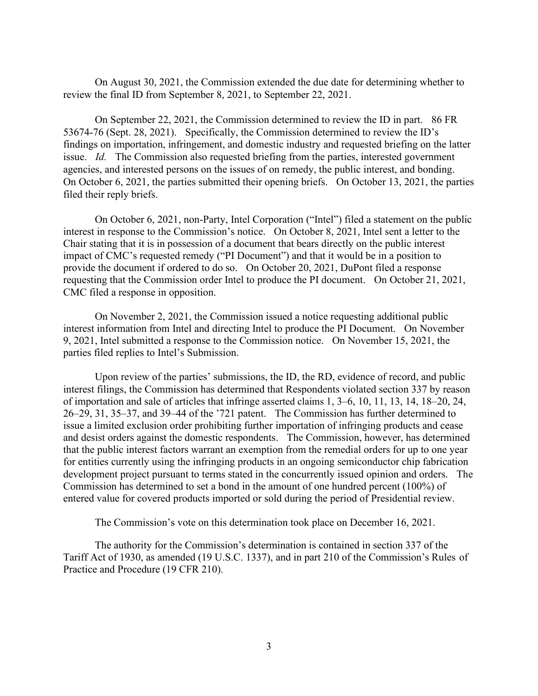On August 30, 2021, the Commission extended the due date for determining whether to review the final ID from September 8, 2021, to September 22, 2021.

On September 22, 2021, the Commission determined to review the ID in part. 86 FR 53674-76 (Sept. 28, 2021). Specifically, the Commission determined to review the ID's findings on importation, infringement, and domestic industry and requested briefing on the latter issue. *Id.* The Commission also requested briefing from the parties, interested government agencies, and interested persons on the issues of on remedy, the public interest, and bonding. On October 6, 2021, the parties submitted their opening briefs. On October 13, 2021, the parties filed their reply briefs.

On October 6, 2021, non-Party, Intel Corporation ("Intel") filed a statement on the public interest in response to the Commission's notice. On October 8, 2021, Intel sent a letter to the Chair stating that it is in possession of a document that bears directly on the public interest impact of CMC's requested remedy ("PI Document") and that it would be in a position to provide the document if ordered to do so. On October 20, 2021, DuPont filed a response requesting that the Commission order Intel to produce the PI document. On October 21, 2021, CMC filed a response in opposition.

On November 2, 2021, the Commission issued a notice requesting additional public interest information from Intel and directing Intel to produce the PI Document. On November 9, 2021, Intel submitted a response to the Commission notice. On November 15, 2021, the parties filed replies to Intel's Submission.

Upon review of the parties' submissions, the ID, the RD, evidence of record, and public interest filings, the Commission has determined that Respondents violated section 337 by reason of importation and sale of articles that infringe asserted claims 1, 3–6, 10, 11, 13, 14, 18–20, 24, 26–29, 31, 35–37, and 39–44 of the '721 patent. The Commission has further determined to issue a limited exclusion order prohibiting further importation of infringing products and cease and desist orders against the domestic respondents. The Commission, however, has determined that the public interest factors warrant an exemption from the remedial orders for up to one year for entities currently using the infringing products in an ongoing semiconductor chip fabrication development project pursuant to terms stated in the concurrently issued opinion and orders. The Commission has determined to set a bond in the amount of one hundred percent (100%) of entered value for covered products imported or sold during the period of Presidential review.

The Commission's vote on this determination took place on December 16, 2021.

The authority for the Commission's determination is contained in section 337 of the Tariff Act of 1930, as amended (19 U.S.C. 1337), and in part 210 of the Commission's Rules of Practice and Procedure (19 CFR 210).